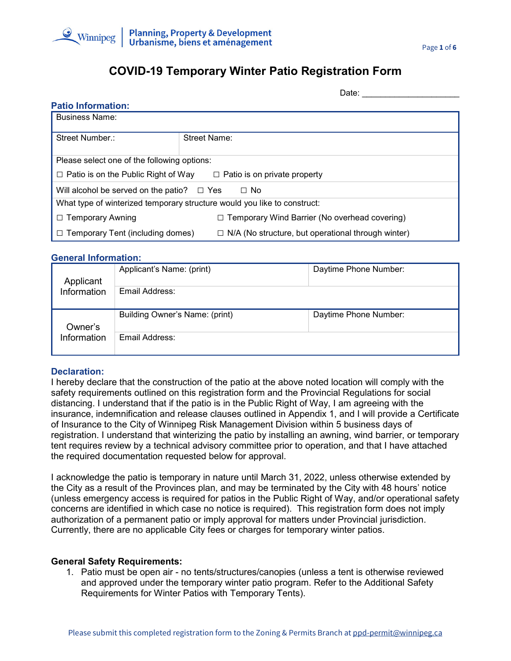

## **COVID-19 Temporary Winter Patio Registration Form**

Date: **with Date:** 

| <b>Patio Information:</b>                                                         |                                                           |  |
|-----------------------------------------------------------------------------------|-----------------------------------------------------------|--|
| <b>Business Name:</b>                                                             |                                                           |  |
|                                                                                   |                                                           |  |
| Street Number.:                                                                   | Street Name:                                              |  |
|                                                                                   |                                                           |  |
| Please select one of the following options:                                       |                                                           |  |
| $\Box$ Patio is on the Public Right of Way<br>$\Box$ Patio is on private property |                                                           |  |
| Will alcohol be served on the patio? $\Box$ Yes<br>$\Box$ No                      |                                                           |  |
| What type of winterized temporary structure would you like to construct:          |                                                           |  |
| $\Box$ Temporary Awning                                                           | $\Box$ Temporary Wind Barrier (No overhead covering)      |  |
| Temporary Tent (including domes)<br>$\Box$                                        | $\Box$ N/A (No structure, but operational through winter) |  |

#### **General Information:**

|                                            | Applicant's Name: (print)      | Daytime Phone Number: |
|--------------------------------------------|--------------------------------|-----------------------|
| Applicant<br>Information<br>Email Address: |                                |                       |
| Owner's                                    | Building Owner's Name: (print) | Daytime Phone Number: |
| Information                                | Email Address:                 |                       |

### **Declaration:**

I hereby declare that the construction of the patio at the above noted location will comply with the safety requirements outlined on this registration form and the Provincial Regulations for social distancing. I understand that if the patio is in the Public Right of Way, I am agreeing with the insurance, indemnification and release clauses outlined in Appendix 1, and I will provide a Certificate of Insurance to the City of Winnipeg Risk Management Division within 5 business days of registration. I understand that winterizing the patio by installing an awning, wind barrier, or temporary tent requires review by a technical advisory committee prior to operation, and that I have attached the required documentation requested below for approval.

I acknowledge the patio is temporary in nature until March 31, 2022, unless otherwise extended by the City as a result of the Provinces plan, and may be terminated by the City with 48 hours' notice (unless emergency access is required for patios in the Public Right of Way, and/or operational safety concerns are identified in which case no notice is required). This registration form does not imply authorization of a permanent patio or imply approval for matters under Provincial jurisdiction. Currently, there are no applicable City fees or charges for temporary winter patios.

#### **General Safety Requirements:**

1. Patio must be open air - no tents/structures/canopies (unless a tent is otherwise reviewed and approved under the temporary winter patio program. Refer to the Additional Safety Requirements for Winter Patios with Temporary Tents).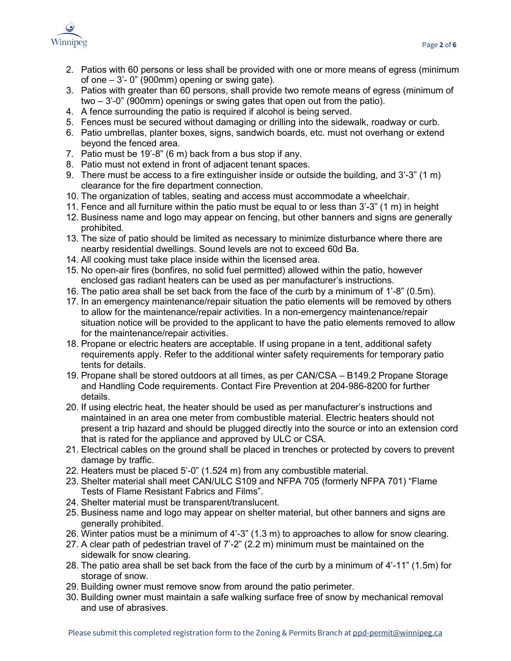

- 2. Patios with 60 persons or less shall be provided with one or more means of egress (minimum of one  $-3'$ - 0" (900mm) opening or swing gate).
- 3. Patios with greater than 60 persons, shall provide two remote means of egress (minimum of two – 3'-0" (900mm) openings or swing gates that open out from the patio).
- 4. A fence surrounding the patio is required if alcohol is being served.
- 5. Fences must be secured without damaging or drilling into the sidewalk, roadway or curb.
- 6. Patio umbrellas, planter boxes, signs, sandwich boards, etc. must not overhang or extend beyond the fenced area.
- 7. Patio must be 19'-8" (6 m) back from a bus stop if any.
- 8. Patio must not extend in front of adjacent tenant spaces.
- 9. There must be access to a fire extinguisher inside or outside the building, and 3'-3" (1 m) clearance for the fire department connection.
- 10. The organization of tables, seating and access must accommodate a wheelchair.
- 11. Fence and all furniture within the patio must be equal to or less than 3'-3" (1 m) in height
- 12. Business name and logo may appear on fencing, but other banners and signs are generally prohibited.
- 13. The size of patio should be limited as necessary to minimize disturbance where there are nearby residential dwellings. Sound levels are not to exceed 60d Ba.
- 14. All cooking must take place inside within the licensed area.
- 15. No open-air fires (bonfires, no solid fuel permitted) allowed within the patio, however enclosed gas radiant heaters can be used as per manufacturer's instructions.
- 16. The patio area shall be set back from the face of the curb by a minimum of 1'-8" (0.5m).
- 17. In an emergency maintenance/repair situation the patio elements will be removed by others to allow for the maintenance/repair activities. In a non-emergency maintenance/repair situation notice will be provided to the applicant to have the patio elements removed to allow for the maintenance/repair activities.
- 18. Propane or electric heaters are acceptable. If using propane in a tent, additional safety requirements apply. Refer to the additional winter safety requirements for temporary patio tents for details.
- 19. Propane shall be stored outdoors at all times, as per CAN/CSA B149.2 Propane Storage and Handling Code requirements. Contact Fire Prevention at 204-986-8200 for further details.
- 20. If using electric heat, the heater should be used as per manufacturer's instructions and maintained in an area one meter from combustible material. Electric heaters should not present a trip hazard and should be plugged directly into the source or into an extension cord that is rated for the appliance and approved by ULC or CSA.
- 21. Electrical cables on the ground shall be placed in trenches or protected by covers to prevent damage by traffic.
- 22. Heaters must be placed 5'-0" (1.524 m) from any combustible material.
- 23. Shelter material shall meet CAN/ULC S109 and NFPA 705 (formerly NFPA 701) "Flame Tests of Flame Resistant Fabrics and Films".
- 24. Shelter material must be transparent/translucent.
- 25. Business name and logo may appear on shelter material, but other banners and signs are generally prohibited.
- 26. Winter patios must be a minimum of 4'-3" (1.3 m) to approaches to allow for snow clearing.
- 27. A clear path of pedestrian travel of 7'-2" (2.2 m) minimum must be maintained on the sidewalk for snow clearing.
- 28. The patio area shall be set back from the face of the curb by a minimum of 4'-11" (1.5m) for storage of snow.
- 29. Building owner must remove snow from around the patio perimeter.
- 30. Building owner must maintain a safe walking surface free of snow by mechanical removal and use of abrasives.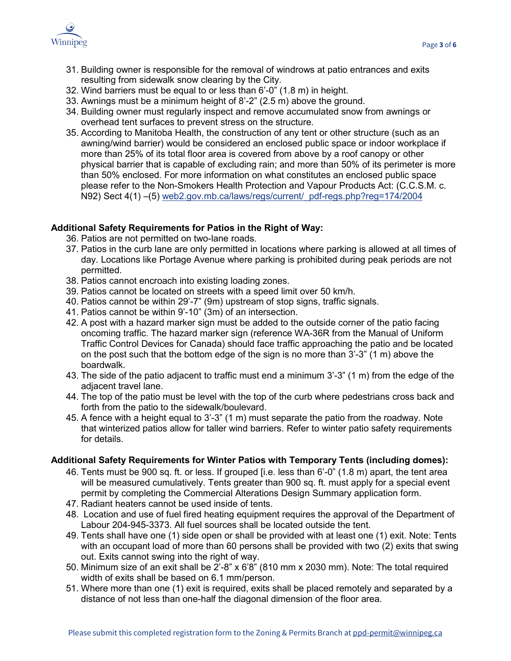

- 31. Building owner is responsible for the removal of windrows at patio entrances and exits resulting from sidewalk snow clearing by the City.
- 32. Wind barriers must be equal to or less than 6'-0" (1.8 m) in height.
- 33. Awnings must be a minimum height of 8'-2" (2.5 m) above the ground.
- 34. Building owner must regularly inspect and remove accumulated snow from awnings or overhead tent surfaces to prevent stress on the structure.
- 35. According to Manitoba Health, the construction of any tent or other structure (such as an awning/wind barrier) would be considered an enclosed public space or indoor workplace if more than 25% of its total floor area is covered from above by a roof canopy or other physical barrier that is capable of excluding rain; and more than 50% of its perimeter is more than 50% enclosed. For more information on what constitutes an enclosed public space please refer to the Non-Smokers Health Protection and Vapour Products Act: (C.C.S.M. c. N92) Sect 4(1) –(5) web2.gov.mb.ca/laws/regs/current/ pdf-regs.php?reg=174/2004

### **Additional Safety Requirements for Patios in the Right of Way:**

- 36. Patios are not permitted on two-lane roads.
- 37. Patios in the curb lane are only permitted in locations where parking is allowed at all times of day. Locations like Portage Avenue where parking is prohibited during peak periods are not permitted.
- 38. Patios cannot encroach into existing loading zones.
- 39. Patios cannot be located on streets with a speed limit over 50 km/h.
- 40. Patios cannot be within 29'-7" (9m) upstream of stop signs, traffic signals.
- 41. Patios cannot be within 9'-10" (3m) of an intersection.
- 42. A post with a hazard marker sign must be added to the outside corner of the patio facing oncoming traffic. The hazard marker sign (reference WA-36R from the Manual of Uniform Traffic Control Devices for Canada) should face traffic approaching the patio and be located on the post such that the bottom edge of the sign is no more than 3'-3" (1 m) above the boardwalk.
- 43. The side of the patio adjacent to traffic must end a minimum 3'-3" (1 m) from the edge of the adjacent travel lane.
- 44. The top of the patio must be level with the top of the curb where pedestrians cross back and forth from the patio to the sidewalk/boulevard.
- 45. A fence with a height equal to 3'-3" (1 m) must separate the patio from the roadway. Note that winterized patios allow for taller wind barriers. Refer to winter patio safety requirements for details.

### **Additional Safety Requirements for Winter Patios with Temporary Tents (including domes):**

- 46. Tents must be 900 sq. ft. or less. If grouped [i.e. less than 6'-0" (1.8 m) apart, the tent area will be measured cumulatively. Tents greater than 900 sq. ft. must apply for a special event permit by completing the Commercial Alterations Design Summary application form.
- 47. Radiant heaters cannot be used inside of tents.
- 48. Location and use of fuel fired heating equipment requires the approval of the Department of Labour 204-945-3373. All fuel sources shall be located outside the tent.
- 49. Tents shall have one (1) side open or shall be provided with at least one (1) exit. Note: Tents with an occupant load of more than 60 persons shall be provided with two (2) exits that swing out. Exits cannot swing into the right of way.
- 50. Minimum size of an exit shall be 2'-8" x 6'8" (810 mm x 2030 mm). Note: The total required width of exits shall be based on 6.1 mm/person.
- 51. Where more than one (1) exit is required, exits shall be placed remotely and separated by a distance of not less than one-half the diagonal dimension of the floor area.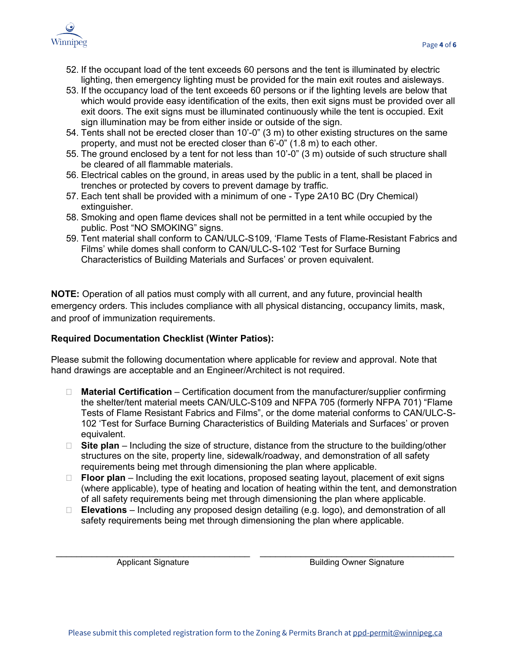

- 52. If the occupant load of the tent exceeds 60 persons and the tent is illuminated by electric lighting, then emergency lighting must be provided for the main exit routes and aisleways.
- 53. If the occupancy load of the tent exceeds 60 persons or if the lighting levels are below that which would provide easy identification of the exits, then exit signs must be provided over all exit doors. The exit signs must be illuminated continuously while the tent is occupied. Exit sign illumination may be from either inside or outside of the sign.
- 54. Tents shall not be erected closer than 10'-0" (3 m) to other existing structures on the same property, and must not be erected closer than 6'-0" (1.8 m) to each other.
- 55. The ground enclosed by a tent for not less than 10'-0" (3 m) outside of such structure shall be cleared of all flammable materials.
- 56. Electrical cables on the ground, in areas used by the public in a tent, shall be placed in trenches or protected by covers to prevent damage by traffic.
- 57. Each tent shall be provided with a minimum of one Type 2A10 BC (Dry Chemical) extinguisher.
- 58. Smoking and open flame devices shall not be permitted in a tent while occupied by the public. Post "NO SMOKING" signs.
- 59. Tent material shall conform to CAN/ULC-S109, 'Flame Tests of Flame-Resistant Fabrics and Films' while domes shall conform to CAN/ULC-S-102 'Test for Surface Burning Characteristics of Building Materials and Surfaces' or proven equivalent.

**NOTE:** Operation of all patios must comply with all current, and any future, provincial health emergency orders. This includes compliance with all physical distancing, occupancy limits, mask, and proof of immunization requirements.

### **Required Documentation Checklist (Winter Patios):**

Please submit the following documentation where applicable for review and approval. Note that hand drawings are acceptable and an Engineer/Architect is not required.

- □ **Material Certification** Certification document from the manufacturer/supplier confirming the shelter/tent material meets CAN/ULC-S109 and NFPA 705 (formerly NFPA 701) "Flame Tests of Flame Resistant Fabrics and Films", or the dome material conforms to CAN/ULC-S-102 'Test for Surface Burning Characteristics of Building Materials and Surfaces' or proven equivalent.
- □ Site plan Including the size of structure, distance from the structure to the building/other structures on the site, property line, sidewalk/roadway, and demonstration of all safety requirements being met through dimensioning the plan where applicable.
- **Floor plan** Including the exit locations, proposed seating layout, placement of exit signs (where applicable), type of heating and location of heating within the tent, and demonstration of all safety requirements being met through dimensioning the plan where applicable.
- **Elevations** Including any proposed design detailing (e.g. logo), and demonstration of all safety requirements being met through dimensioning the plan where applicable.

 $\mathcal{L}_\text{max}$  , and the set of the set of the set of the set of the set of the set of the set of the set of the set of the set of the set of the set of the set of the set of the set of the set of the set of the set of the Applicant Signature

\_\_\_\_\_\_\_\_\_\_\_\_\_\_\_\_\_\_\_\_\_\_\_\_\_\_\_\_\_\_\_\_\_\_\_\_\_\_ Building Owner Signature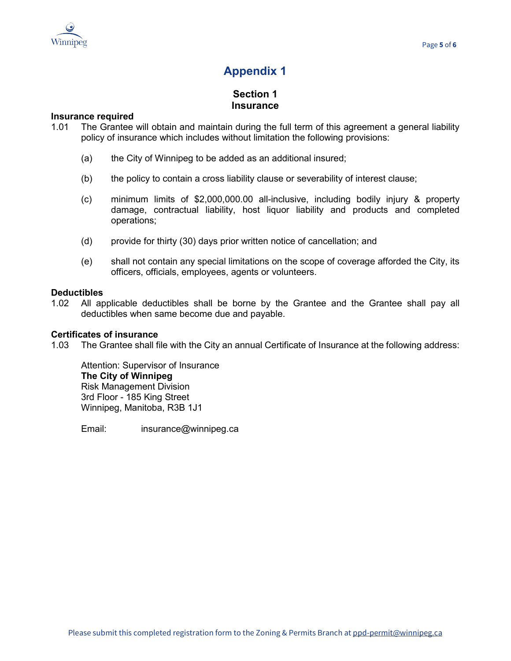

# **Appendix 1**

### **Section 1 Insurance**

### **1 Insurance required**

- 1.01 The Grantee will obtain and maintain during the full term of this agreement a general liability policy of insurance which includes without limitation the following provisions:
	- (a) the City of Winnipeg to be added as an additional insured;
	- (b) the policy to contain a cross liability clause or severability of interest clause;
	- (c) minimum limits of \$2,000,000.00 all-inclusive, including bodily injury & property damage, contractual liability, host liquor liability and products and completed operations;
	- (d) provide for thirty (30) days prior written notice of cancellation; and
	- (e) shall not contain any special limitations on the scope of coverage afforded the City, its officers, officials, employees, agents or volunteers.

### **1 Deductibles**

1.02 All applicable deductibles shall be borne by the Grantee and the Grantee shall pay all deductibles when same become due and payable.

### **1 Certificates of insurance**

1.03 The Grantee shall file with the City an annual Certificate of Insurance at the following address:

Attention: Supervisor of Insurance **The City of Winnipeg** Risk Management Division 3rd Floor - 185 King Street Winnipeg, Manitoba, R3B 1J1

Email: insurance@winnipeg.ca